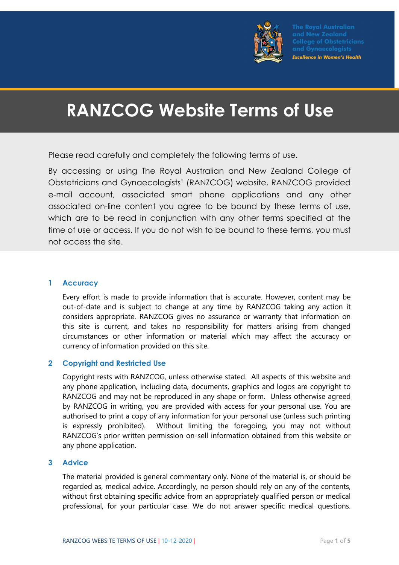

**Excellence in Women's Health** 

# RANZCOG Website Terms of Use

Please read carefully and completely the following terms of use.

By accessing or using The Royal Australian and New Zealand College of Obstetricians and Gynaecologists' (RANZCOG) website, RANZCOG provided e-mail account, associated smart phone applications and any other associated on-line content you agree to be bound by these terms of use, which are to be read in conjunction with any other terms specified at the time of use or access. If you do not wish to be bound to these terms, you must not access the site.

#### 1 Accuracy

Every effort is made to provide information that is accurate. However, content may be out-of-date and is subject to change at any time by RANZCOG taking any action it considers appropriate. RANZCOG gives no assurance or warranty that information on this site is current, and takes no responsibility for matters arising from changed circumstances or other information or material which may affect the accuracy or currency of information provided on this site.

# 2 Copyright and Restricted Use

Copyright rests with RANZCOG, unless otherwise stated. All aspects of this website and any phone application, including data, documents, graphics and logos are copyright to RANZCOG and may not be reproduced in any shape or form. Unless otherwise agreed by RANZCOG in writing, you are provided with access for your personal use. You are authorised to print a copy of any information for your personal use (unless such printing is expressly prohibited). Without limiting the foregoing, you may not without RANZCOG's prior written permission on-sell information obtained from this website or any phone application.

#### 3 Advice

The material provided is general commentary only. None of the material is, or should be regarded as, medical advice. Accordingly, no person should rely on any of the contents, without first obtaining specific advice from an appropriately qualified person or medical professional, for your particular case. We do not answer specific medical questions.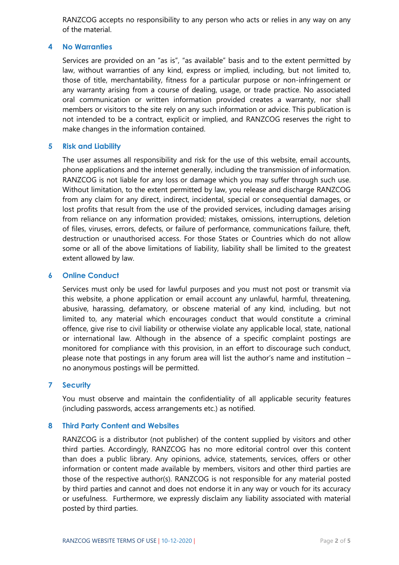RANZCOG accepts no responsibility to any person who acts or relies in any way on any of the material.

#### 4 No Warranties

Services are provided on an "as is", "as available" basis and to the extent permitted by law, without warranties of any kind, express or implied, including, but not limited to, those of title, merchantability, fitness for a particular purpose or non-infringement or any warranty arising from a course of dealing, usage, or trade practice. No associated oral communication or written information provided creates a warranty, nor shall members or visitors to the site rely on any such information or advice. This publication is not intended to be a contract, explicit or implied, and RANZCOG reserves the right to make changes in the information contained.

## 5 Risk and Liability

The user assumes all responsibility and risk for the use of this website, email accounts, phone applications and the internet generally, including the transmission of information. RANZCOG is not liable for any loss or damage which you may suffer through such use. Without limitation, to the extent permitted by law, you release and discharge RANZCOG from any claim for any direct, indirect, incidental, special or consequential damages, or lost profits that result from the use of the provided services, including damages arising from reliance on any information provided; mistakes, omissions, interruptions, deletion of files, viruses, errors, defects, or failure of performance, communications failure, theft, destruction or unauthorised access. For those States or Countries which do not allow some or all of the above limitations of liability, liability shall be limited to the greatest extent allowed by law.

#### 6 Online Conduct

Services must only be used for lawful purposes and you must not post or transmit via this website, a phone application or email account any unlawful, harmful, threatening, abusive, harassing, defamatory, or obscene material of any kind, including, but not limited to, any material which encourages conduct that would constitute a criminal offence, give rise to civil liability or otherwise violate any applicable local, state, national or international law. Although in the absence of a specific complaint postings are monitored for compliance with this provision, in an effort to discourage such conduct, please note that postings in any forum area will list the author's name and institution – no anonymous postings will be permitted.

#### 7 Security

You must observe and maintain the confidentiality of all applicable security features (including passwords, access arrangements etc.) as notified.

#### 8 Third Party Content and Websites

RANZCOG is a distributor (not publisher) of the content supplied by visitors and other third parties. Accordingly, RANZCOG has no more editorial control over this content than does a public library. Any opinions, advice, statements, services, offers or other information or content made available by members, visitors and other third parties are those of the respective author(s). RANZCOG is not responsible for any material posted by third parties and cannot and does not endorse it in any way or vouch for its accuracy or usefulness. Furthermore, we expressly disclaim any liability associated with material posted by third parties.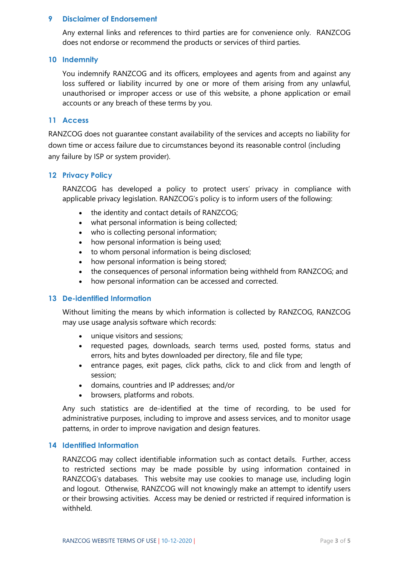#### 9 Disclaimer of Endorsement

Any external links and references to third parties are for convenience only. RANZCOG does not endorse or recommend the products or services of third parties.

#### 10 Indemnity

You indemnify RANZCOG and its officers, employees and agents from and against any loss suffered or liability incurred by one or more of them arising from any unlawful, unauthorised or improper access or use of this website, a phone application or email accounts or any breach of these terms by you.

#### 11 Access

RANZCOG does not guarantee constant availability of the services and accepts no liability for down time or access failure due to circumstances beyond its reasonable control (including any failure by ISP or system provider).

## 12 Privacy Policy

RANZCOG has developed a policy to protect users' privacy in compliance with applicable privacy legislation. RANZCOG's policy is to inform users of the following:

- the identity and contact details of RANZCOG;
- what personal information is being collected;
- who is collecting personal information;
- how personal information is being used;
- to whom personal information is being disclosed;
- how personal information is being stored;
- the consequences of personal information being withheld from RANZCOG; and
- how personal information can be accessed and corrected.

#### 13 De-identified Information

Without limiting the means by which information is collected by RANZCOG, RANZCOG may use usage analysis software which records:

- unique visitors and sessions;
- requested pages, downloads, search terms used, posted forms, status and errors, hits and bytes downloaded per directory, file and file type;
- entrance pages, exit pages, click paths, click to and click from and length of session;
- domains, countries and IP addresses; and/or
- browsers, platforms and robots.

Any such statistics are de-identified at the time of recording, to be used for administrative purposes, including to improve and assess services, and to monitor usage patterns, in order to improve navigation and design features.

#### 14 Identified Information

RANZCOG may collect identifiable information such as contact details. Further, access to restricted sections may be made possible by using information contained in RANZCOG's databases. This website may use cookies to manage use, including login and logout. Otherwise, RANZCOG will not knowingly make an attempt to identify users or their browsing activities. Access may be denied or restricted if required information is withheld.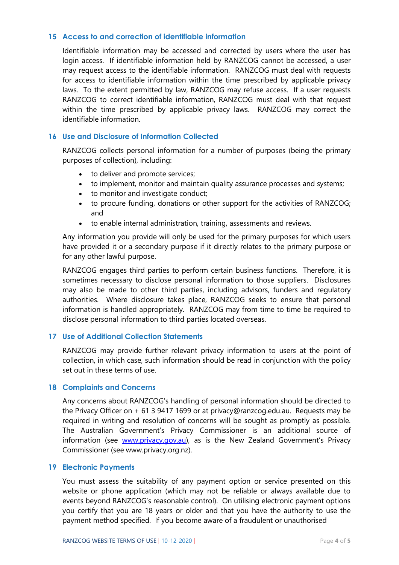#### 15 Access to and correction of identifiable information

Identifiable information may be accessed and corrected by users where the user has login access. If identifiable information held by RANZCOG cannot be accessed, a user may request access to the identifiable information. RANZCOG must deal with requests for access to identifiable information within the time prescribed by applicable privacy laws. To the extent permitted by law, RANZCOG may refuse access. If a user requests RANZCOG to correct identifiable information, RANZCOG must deal with that request within the time prescribed by applicable privacy laws. RANZCOG may correct the identifiable information.

## 16 Use and Disclosure of Information Collected

RANZCOG collects personal information for a number of purposes (being the primary purposes of collection), including:

- to deliver and promote services;
- to implement, monitor and maintain quality assurance processes and systems;
- to monitor and investigate conduct;
- to procure funding, donations or other support for the activities of RANZCOG; and
- to enable internal administration, training, assessments and reviews.

Any information you provide will only be used for the primary purposes for which users have provided it or a secondary purpose if it directly relates to the primary purpose or for any other lawful purpose.

RANZCOG engages third parties to perform certain business functions. Therefore, it is sometimes necessary to disclose personal information to those suppliers. Disclosures may also be made to other third parties, including advisors, funders and regulatory authorities. Where disclosure takes place, RANZCOG seeks to ensure that personal information is handled appropriately. RANZCOG may from time to time be required to disclose personal information to third parties located overseas.

# 17 Use of Additional Collection Statements

RANZCOG may provide further relevant privacy information to users at the point of collection, in which case, such information should be read in conjunction with the policy set out in these terms of use.

#### 18 Complaints and Concerns

Any concerns about RANZCOG's handling of personal information should be directed to the Privacy Officer on + 61 3 9417 1699 or at privacy@ranzcog.edu.au. Requests may be required in writing and resolution of concerns will be sought as promptly as possible. The Australian Government's Privacy Commissioner is an additional source of information (see www.privacy.gov.au), as is the New Zealand Government's Privacy Commissioner (see www.privacy.org.nz).

#### 19 Electronic Payments

You must assess the suitability of any payment option or service presented on this website or phone application (which may not be reliable or always available due to events beyond RANZCOG's reasonable control). On utilising electronic payment options you certify that you are 18 years or older and that you have the authority to use the payment method specified. If you become aware of a fraudulent or unauthorised